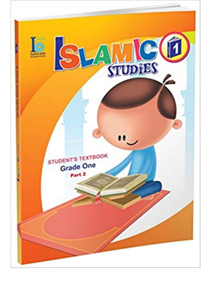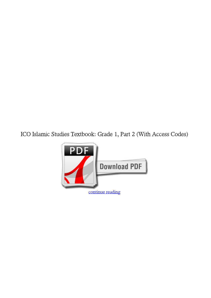**ICO Islamic Studies Textbook: Grade 1, Part 2 (With Access Codes)**

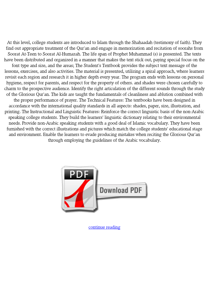At this level, college students are introduced to Islam through the Shahaadah (testimony of faith). They find out appropriate treatment of the Qur'an and engage in memorization and recitation of soorahs from Soorat At-Teen to Soorat Al-Humazah. The life span of Prophet Muhammad (s) is presented. The texts have been distributed and organized in a manner that makes the text stick out, paying special focus on the font type and size, and the areas; The Student's Textbook provides the subject text message of the lessons, exercises, and also activities. The material is presented, utilizing a spiral approach, where learners revisit each region and research it in higher depth every year. The program ends with lessons on personal hygiene, respect for parents, and respect for the property of others. and shades were chosen carefully to charm to the prospective audience. Identify the right articulation of the different sounds through the study of the Glorious Qur'an. The kids are taught the fundamentals of cleanliness and ablution combined with the proper performance of prayer. The Technical Features: The textbooks have been designed in accordance with the international quality standards in all aspects: shades, paper, size, illustration, and printing. The Instructional and Linguistic Features: Reinforce the correct linguistic basis of the non-Arabic speaking college students. They build the learners' linguistic dictionary relating to their environmental needs. Provide non-Arabic speaking students with a good deal of Islamic vocabulary. They have been furnished with the correct illustrations and pictures which match the college students' educational stage and environment. Enable the learners to evade producing mistakes when reciting the Glorious Qur'an through employing the guidelines of the Arabic vocabulary.



[continue reading](http://bit.ly/2Tge8Fv)